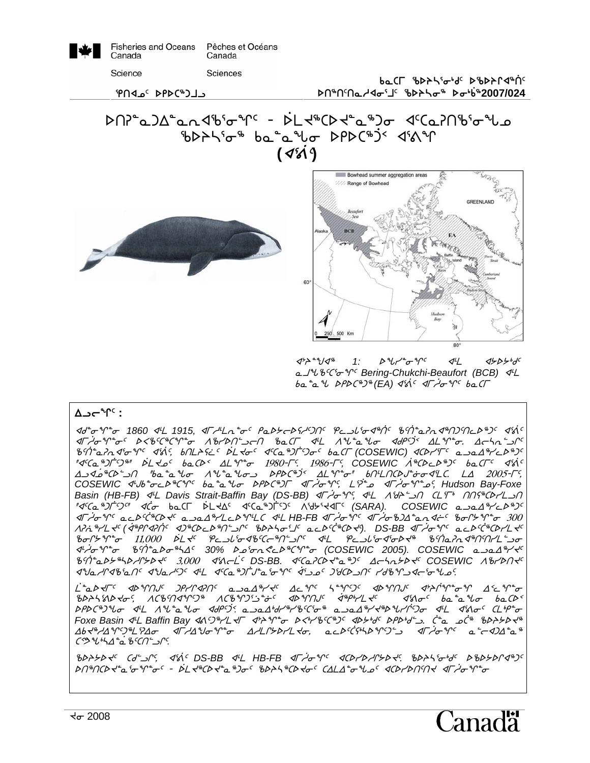| ₩ | <b>Fisheries and Oceans</b> | Pêches et Océans |  |
|---|-----------------------------|------------------|--|
| I | Canada                      | Canada           |  |
|   | Science                     | Sciences         |  |

baCL bP<del>></del>J'add' PbP>L<br/> **st6t5tNhxi3j5 cspni6 si4`v62007/024**

et C<sup>#</sup>DPD <sup>ع</sup>مه PN<sup>9</sup>







 $\langle 1 \rangle^4$   $\langle 1 \rangle^6$   $\langle 1 \rangle^6$   $\langle 1 \rangle^7$   $\langle 1 \rangle^6$   $\langle 1 \rangle^7$   $\langle 1 \rangle^8$   $\langle 1 \rangle^8$ a J<sup>u</sup> b'C'<sub>o</sub> V<sup>c</sup> Bering-Chukchi-Beaufort (BCB) 4L ba<sup>2</sup> a<sup>2</sup> DPDC<sup>8</sup>)<sup>8</sup> (EA)  $45^{\circ}$   $47^{\circ}$   $620$ 

#### A⊃**c**<sup>°</sup>r<sup>c</sup> :

xf8iq8i *1860* x7m *1915,* xuh7mE8i5 rNs/osCh5gt5 eMlZ3ix6`t5 c5`t8NDEx6tg5tMs6g5 x3`=5  $\pi$  or  $\pi$  and  $\pi$  of  $\pi$  and  $\pi$  of  $\pi$  and  $\pi$  and  $\pi$  with  $\pi$   $\pi$  and  $\pi$   $\pi$  of  $\pi$ c5`t8NDEx3iq5 x3`=5, vtmpC~M5 `smJi5 x5bN6g`u5gi5 vNbu *(COSEWIC)* xbsy3u5 NlNw6yMs6g5 "I'GA "JT" S"  $\mathcal{A}^c$ Ca "JT"  $\mathcal{A}^c$  baCD vs  $\mathcal{A}^c$   $\mathcal{A}^c$   $\mathcal{A}^c$  which  $\mathcal{A}^c$  which  $\mathcal{A}^c$  which  $\mathcal{A}^c$  and  $\mathcal{A}^c$  variance  $\mathcal{A}^c$  in  $\mathcal{A}^c$  which  $\mathcal{A}^c$  is the  $\mathcal{A}^c$  va  $\Delta$ ك هـ 4 $\Lambda$ ي من  $\Lambda$ ي المست $\sigma$  و الد $\Lambda$ ي من البكري  $\Lambda$  "ba  $\iota$   $\iota$   $\iota$   $\iota$   $\iota$   $\iota$   $\iota$   $\iota$   $\iota$   $\iota$   $\iota$   $\iota$   $\iota$   $\iota$   $\iota$   $\iota$   $\iota$   $\iota$   $\iota$   $\iota$   $\iota$   $\iota$   $\iota$   $\iota$   $\iota$   $\iota$ COSEWIC *4'Jb<sup>\*</sup>o*<L<sup>3\*</sup>C'Y<sup>c</sup> ba*\*a'lo DPDC'<sup>8</sup>)F <drightiqsim* <drightigs <drightigs <drightigs <drightigs <drightigs <drightigs <ddin Bay-Foxe  $\alpha$ *Basin (HB-FB)*  $\lll$  *Davis Strait-Baffin Bay (DS-BB)*  $\lll$  $\sim$ <sup>2</sup> $\lll$ ,  $\lll$   $\lll$   $\lll$  $\lll$   $\lll$   $\lll$   $\lll$   $\lll$   $\lll$   $\lll$   $\lll$   $\lll$   $\lll$   $\lll$   $\lll$   $\lll$   $\lll$   $\lll$   $\lll$   $\lll$   $\lll$   $\lll$   $\lll$   $\lll$   $\ll$ *"d{Ca \$)[^5]" dc ba*Cl bL xd d{Ca \$)[^5} A {d}^xdl^ (SARA). COSEWIC a  $x\rightarrow 0$  of acb<sup>ects</sup> (bx<sup>c</sup> abal<sup>s</sup>/Leby LC 4L HB-FB  $x\rightarrow 0$  of  $x\rightarrow 0$ )) and the bort  $\gamma$  of  $x\rightarrow 0$ APit<sup>8</sup>PL T<sup>c</sup> (38PP3PIC 3D8CDCD8N-JC 8DASoLSC acDCC8CDT9. DS-BB <IF JoYC acDCC8CDPL TC ciQ/q8i !!,))) `smJ5 eMlZ3ixc5bo6t9lQ5 x7m eMlZ3ix3isJ6 c5`tNDEx6t5tym9li x7`hiq8i c5`t8Nsi6nw5 *30%* sk3iE?Ms6bq8i *(COSEWIC 2005). COSEWIC* NlNw6yJ5 c5`t8Ns/6nshQ/sJ5 #,))) x3=o`m5 *DS-BB.* x5bNDbsJ8N6g5 wonE/sJ5 *COSEWIC* WcystJ5 xaNhQxc3Nt5 xaNh5g5 x7m x5bN6g`uA8N3iq5 `x3lk5 gdbslt5 yfcqlxo3izk5*.* 

 $\mathcal{L}^*$ a $\mathcal{P}$ s $\mathcal{T}^<$  solt $\mathcal{P}^<$   $\mathcal{P}^<$   $\mathcal{P}^<$   $\mathcal{P}^<$   $\mathcal{P}^<$   $\mathcal{T}^<$   $\mathcal{P}^<$   $\mathcal{T}^<$   $\mathcal{T}^<$   $\mathcal{T}^<$   $\mathcal{T}^<$   $\mathcal{T}^<$   $\mathcal{T}^<$   $\mathcal{T}^<$   $\mathcal{T}^<$   $\mathcal{T}^<$   $\mathcal{T}^<$   $\mathcal{T}^<$   $68$ 24 $36$   $168$  $10$   $108$  $103$  $109$   $109$   $109$   $109$   $109$   $109$   $109$   $109$   $109$   $109$   $109$   $109$   $109$   $109$   $109$   $109$   $109$   $109$   $109$   $109$   $109$   $109$   $109$   $109$   $109$   $109$   $109$   $109$   $109$   $109$   $109$   $109$ bPDC<sup>®</sup>)Uo 4L 1U<sup>2</sup>a Uo 4dP<sup>cj</sup>: a al<sup>1</sup>d<sup>18</sup>/bCio a a al<sup>8</sup>/d<sup>8</sup>DU/i0o 4L 48o<sup>c</sup> CLiP<sup>2</sup>o *Foxe Basin* x7m *Baffin Bay* x=5g6ymJu x0pq8i sX4yc5b6g5 xs/4f5 srs4f9l. `b8N k`b6 csp/sJ6  $\Delta b$ ding the string through the  $\Delta A$  of  $\Delta b$  of  $\Delta b$   $\Delta b$   $\Delta b$   $\Delta b$   $\Delta b$   $\Delta b$   $\Delta b$   $\Delta b$   $\Delta c$   $\Delta b$   $\Delta c$  is the  $\Delta b$  of  $\Delta b$  of  $\Delta b$  of  $\Delta b$   $\Delta c$  is the  $\Delta b$  of  $\Delta b$   $\Delta c$  is the  $\Delta b$  of  $\Delta b$  of  $\Delta c$ b}Kz4nw8`Nc5bt9lQ5*.* 

csp/sJ5 bf9lQ5, x3`=5 *DS-BB* x7m *HB-FB* xu`hiq5 xbsyshQ/sJ5*.* cspn3i4f5 scs/sQx6g5 st6tbsJ8N3iq8i5 \_ `smJ6bsJ8N6gi5 cspn6bsJi5 bwmw8izk5 xbsyst5tJ xu`hiq8i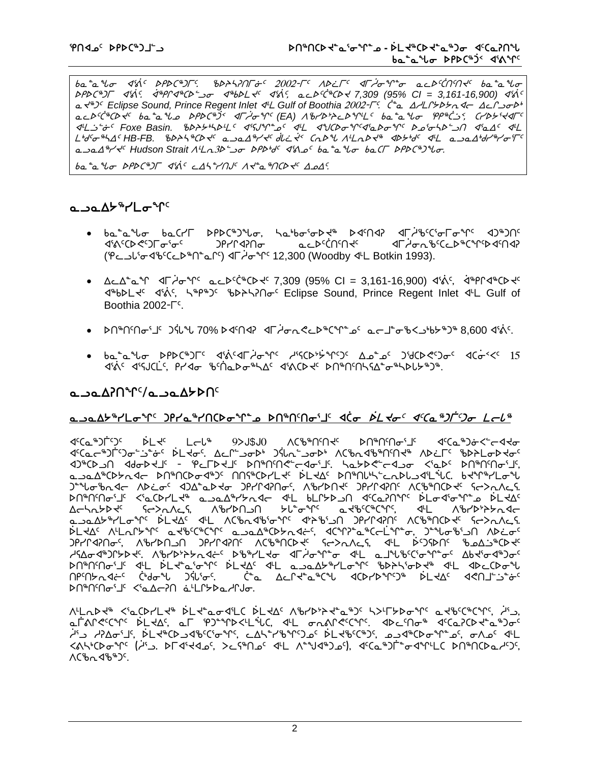ba<sup>n</sup>an<sub>to</sub> din PPDC<sup>a</sup>IF: 6DALINFit 2002-FC ADLFC dFilonne acDCMMxC bananto srsb6gu x3`=5. `x6rQx6bs9li x6vsmJ5 x3`=5, NMs5`b6bsJ *7,309 (95% CI = 3,161-16,900)* x3`=5 a  $x^{48}$ <sup>T</sup> Eclipse Sound, Prince Regent Inlet  $4^{\mu}L$  Gulf of Boothia 2002- $\Gamma^c$ .  $\zeta^*$   $\Delta L$   $\Delta L$   $\Delta h$   $\Delta L$   $\Delta L$   $\Delta \Delta \Delta h$   $\Delta h$ acD<sup>cc&</sup>CDx<sup>c</sup> ba<sup>o</sup>a us DPDC<sup>&3<</sup> < dlation (EA) ^&rDt2CDqlLc baoa us PP&C3< CrDb{xdlc ach count of the state of the state of the state of the state of the state of the state of the state of the state the state of the state of the state of the state of the state of the state of the state of the state of the L<sup>6</sup>d'G<sup>8</sup>hA<sup>c</sup> HB-FB.  $b\rightarrow b\rightarrow b\rightarrow c\rightarrow c$  a sal<sup>g</sup>/s' dic s'< Cal<sup>2</sup> ALaly<sup>4</sup> albert all a sal<sup>6</sup>d/<sup>8</sup>/o'<sup>rc</sup> a<sub>10</sub>1<sup>8</sup>/5 *Hudson Strait*  $A^{\mu}$ *<sub>13</sub>*  $\rightarrow$ *<sub>0</sub> PPb'<sub>d</sub> (48 o ba<sup>2</sup>a<sup>3</sup>lo ba(Γ PPDC<sup>8</sup>)<sup>2</sup>lo.* 

 $b_0$ <sup>2</sup>  $v_0$ <sup>4</sup> $\sigma$   $\mathcal{P}$ PD $\Gamma$ <sup>4</sup> $\mathcal{S}$ is  $\mathcal{S}$   $\mathcal{S}$   $\mathcal{S}$   $\mathcal{S}$   $\mathcal{S}$   $\mathcal{S}$   $\mathcal{S}$   $\mathcal{S}$   $\mathcal{S}$   $\mathcal{S}$   $\mathcal{S}$   $\mathcal{S}$   $\mathcal{S}$   $\mathcal{S}$   $\mathcal{S}$   $\mathcal{S}$   $\mathcal{S}$   $\mathcal{S}$   $\mathcal{S}$ 

#### **ھ∟∠ھ∆≻"ר**/∟ھ"1

- bَمَالِيَةِ baشَمِينَ مَاسَلَ مَالَ الله عنه المعلم الكامل المستقار بن المستقار بن المستقار المستق XXCDXDTo`oC JPYN4Mo aCDCWNXC XIFAon%CCD%CY^DXMAP (PC داه بالحادية) x<sup>6</sup> 12,300 (Woodby 4t Botkin 1993).
- $\Delta$ < $\Delta^2$ ° $\Delta^3$   $\Delta^4$   $\Delta^7$  $\sigma^4$ <sup>c</sup>  $\Delta^4$  $\Delta^5$  $\Delta^6$  $\Delta^4$  $\Delta^7$   $\Delta^8$   $\Delta^8$   $\Delta^8$   $\Delta^8$   $\Delta^8$  $\Delta^8$  $\Delta^7$   $\Delta^8$  $\Delta^8$  $\Delta^8$  $\Delta^8$  $\Delta^8$  $\Delta^8$  $\Delta^8$  $\Delta^8$  $\Delta^8$  $\Delta^8$  $\Delta^8$  $\Delta^8$  $\Delta^8$  $\Delta^8$  $\Delta^8$  $\Delta^8$  $\Delta$  $4^{\omega}b$ bel  $4^{\omega}a^{\omega}b^{\omega}b^{\omega}$  and  $\omega$  and  $\omega$  Eclipse Sound. Prince Regent Inlet  $4^{\omega}b$  Gulf of Boothia  $2002 - \Gamma^c$ .
- bn\*nัก $s_5$ ti3jty 70% bd $n_6$  d $n_7$ der $n_6$ er $n_6$ s a $-1$ o $-1$ o $-1$ o $-1$ o $-1$ o $-1$
- ba<sup>n</sup>and DPDC<sup>®</sup>) $\Gamma$ <sup>c</sup> didical tone this this as an above didiction of the context of the band of the band of the  $\Lambda$  $X^3$ s disjectis, prider ibsneemble and discusses parameter  $X^3$

### **NUSABOV ProDect**

### **NLOSE SPIGS GRYAGE GRYAGE GRYSTIC GRYSTIGS GRYSTIGS ASSESS** A Late <sup>8</sup>

x5bN6g`u5g5 `smJ5 moZ6 (SARA) Wbc6t5tJ5 st6t5ti3j5 x5bN6g~iX9oxJi ᡏ<sup>ᢈ</sup>ᢗᡆᡄ<sup>ቈ</sup>Ͻℾ᠑ᠣ᠋ᡸᡠᡏ᠌ᢆᢄᡶᢦᠣᠮ᠘᠘ᡗ᠆ᡠᠣᢂ᠕ᢗ᠗᠂᠕ᢗ᠊ᡃ᠗᠂ᡌᡌᡆᡄ᠉᠐ᡶᡉᢂᢐ᠘ XG-C - indeptit was stated to the Cast of the Assessment of the Cast States of the Cast States State NlNw6bs/Exo st6tbsix6g5 ttC6bsymJ5 `smJw5 st6tZ4n9MEsZlx3m`zb. vJq6ymiz Jealobrac ADCoc dJAcaDdo JPrndPloc, AbrDNde JPrndPle ACBanCDde GodaAch shthofit <'albrilk" abaliriyad dil blitbun dilanini blodiofit xikiqiq xitash ismiyadi Δc¬\r>\} {{ {{\displan}}}} {\displan}} {\displan}}} {{\displan}}} \for \{\displan}}} {{\displan}}} { الكام المجاهدة المستقامة المستقامة المستقامة المستقامة المستقامة المستقامة المستقامة المستقامة المستقامة المستق  $\Delta S$ ملاحان ۱۳۴۸-۲۵ مخان دهره سوره که دهان میشود که در مستقاریه میشود که در استقاری که در مقابل که در مقابل که gryP42Notics, World Discussions Webfuld and ServeyState GryCosts Are bisdisported with  $\lambda_5$ hQudiyathove ASHASHAQHAD AFAA AFAALAA AHADHAGAADAC AFAADAC pU#Udutic dt bedigent beday dt opodhydroals in apcopan  $\theta$  $\sim$ 1, Aspective of the cost of the cost of the cost of  $\theta$  and  $\theta$  is  $\theta$  is  $\theta$  is  $\theta$  and  $\theta$  is  $\theta$  is  $\theta$  is  $\theta$  and  $\theta$  is  $\theta$  is  $\theta$  is  $\theta$  is  $\theta$  is  $\theta$  is  $\theta$  is  $\theta$  is  $\theta$  is  $\theta$  is  $\theta$  i st6t5ti3j5 X3NwoDt ~N7mQ/sNhQAi.

ALL2A <'LCDXL+ DL+"L04'LC DL+AC ABYD+7+"2"JC KYLFYD0"MC 2+BCC"CMC A'L. efanecys bldds, ef pompachwos, dhe danecys, ddesnd dseapoddes ن h3d hDwi3j3dbCl+\b3c5, cd5°r16°fC, cd5°r16°fCy5, كم4°cDم°fC . ممكن به من المحمد بن **<٨١٠٤٥ م ١/٢٠ GASIX GOOGLAGIST GASHALL ACTO GOOGLAGIST COMPORTS** ለርზኢ ላზ<sup>ቈ</sup>ጋ<sup>¢</sup>.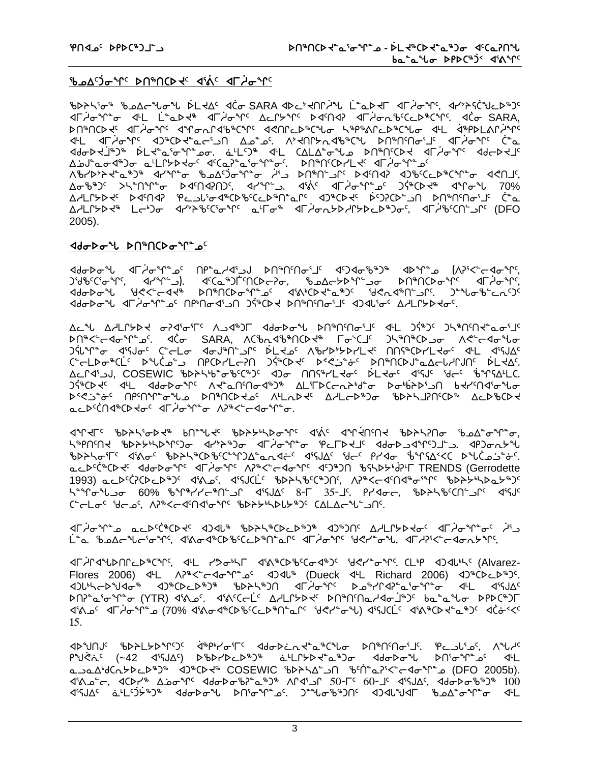## **B.ods)grrs** DN&NCD to did of days

᠍᠍᠍᠊᠍᠊᠍ᡃᡋᢂᢣᠲᢠ᠗᠐ᢣᢃᢣ᠓᠉ᡫᡳᢂᡗᡆ᠅ᡮ᠓᠉ᡫ᠅ᢣ᠓᠅ᢣᡁ᠗ᢣᠾ᠗ᡫᠾᡅ᠅ᠾ᠗ᢣᠾ᠅᠗ᢣ᠅ᡪ᠅ᡁ᠘ᢣ᠅ᠾ IF A THONG THE LOOK AFT ALLER AND ARABELL AND THE SARA, <u> ÞՈჼՈ</u>ՐϷ<del>Վ</del>٬ ⊲Г*Ժ*ԺԳՐ٬ ⊲ԳՐԺՃՐՎՖჼՐԳՐ٬ ⊲<ՈՐ∟ÞჼՐϞՐԺ ¬ՏჼԹჼልՐ∟ÞჼՐՎԺԺ ⊲ՎԼ ՎჼՔÞԼልՐԺԳՐ ᡕᡁ᠆᠂ᡆᡄ*ᢣᡆ᠕ᠸ᠂ᡆ᠑ᡑᢗᢂᢋᡄᡄ᠄*᠐᠂᠀ᢐᢩᡑ᠙᠁᠈ᡏᢖᠾ᠅᠂᠅ᡔᡗᡁᠾᢣᠮ᠀᠅ᡒ᠉ᡁ᠗᠅᠀ᠰ᠕ᠾᠾᠾᡀ ᠊ᡏᡉᢂᢣᢣᡆᡱᢀ᠂ᢠ᠘ᢣᡈᢂᢣᡆᠾ᠉ᡫᢄᢣᡫ᠉ᠾ᠉ᡁᢄᢣᢣᢣᢣ᠅ᢣᠾ᠉ᡁᠫᡉᢣᡗᢣᡆ᠉ᡫᡅᢆᡉ<br>ᢂᡋᡆᢂᡁᢂᢣᡫᢥ᠉ᡁᢂᡁᢣᢂᡪ᠖ᡁᡫᢄᢣ᠗ᢣᠾ᠅ᡁᢄᡫᡫ᠓᠉᠂ᡧᡌ᠌ᢗᡌᠷ<br>ᡘᡌ᠋ᡉᢂᡁ᠓ᡪ᠉᠅ᡌᡳᡉᡫ᠅ᢐᡙ᠅ᡁᢄᡫ᠘ᠻ᠅ᡁᡗ᠅ᡁᢄ᠘ᡫ᠕᠉᠓ᠻ Δσ<sup>464</sup>)٢ >\\*Ոᠰᢪᠣ Ϸďᡗᠠᡏᠯ᠒ᡗᢔ᠂ᡕᡆᠰᠰᢪᠴ᠂ᡕᡏᢤᠻ᠂ᡕᡌ᠇ᢣᡆᠰᠼᠻ᠂᠈ᡲᡃᡊᢂᢣᢦ᠂ᡕ᠅ᠺᡒᠰ᠂᠀᠀ ᠘ᢣᡃ᠘ᡗᢣ**ᢧ**ᢣᡕ᠂᠌ᢂ᠋ᢦ᠒᠂᠄᠋ᡇᡄᠴ᠘ᡃᢐ᠊ᡏᡑᢗᡔᢧᡑᢗᢈᡄᢧᡑ᠓᠌᠆ᢑ᠃᠗᠉ᠺᡅᢣᡳ᠂ᢠ᠀᠈ᢗᠥ᠆᠗᠃᠐ᠰ᠕ᡊᡙᢛ᠋᠂᠂ᡬᠼ AALՐኦϷᢣᢥ᠂Ĺᡄᡃ᠑ᡆ᠂᠂ďᢣ᠈ᢪ᠖ᡃᢗᡝᢐᠰ᠌ᡊ᠂ᢆᡆᡃᠮ᠋ᠣᡃᡃ᠂᠂ᡏᠮ᠂ᢣᠥᡗᢣᡅ᠘ᢂᢣ᠖᠀ᡆ᠄᠃᠆᠃᠃᠃᠃᠃  $2005$ ).

#### <u>ᢦᡆ᠆ᢣᢞ᠇ᡉᢂ᠕ᢞ᠓ᢝᡙ᠖ᡔ᠙᠆ᢐ</u>

ᡕ᠐ᡆᢂᢐᢞᡁ᠌᠆ᡘᠯ᠘ᡉᢞᡗ᠆ᢆᠣᢄ᠂᠓ᠻ᠆ᢆ᠘ᢣ᠐ᢞ᠓ᢞ᠓ᢞ᠓ᡊᡏᠾᡷ᠑ᠻ᠂᠆ᡘᠫᡐᡏᡖ᠉᠂᠗ᢞᠾ᠘ᢣᢂᢣ᠖᠂᠕ᡒᢄᢣᢞᡳᢄ<br>᠗ᡃ᠗ᡃ᠖ᡃᢕ᠖ᢞᢩᡳ᠄᠂ᡏᠰᢂ᠂ᢩ᠕ᢞᢕᢄ᠉᠐ᡫ᠙ᢅᢗᡉ᠅᠓ᢄ᠕᠅᠕ᢣ᠐ᢣ᠕ᢣᢄ᠕ᢒ᠕ᢣᢂᢣ᠐ᢣ᠅᠕ᠳ᠅᠕ᡛ᠘ᢣ<br>ᢂ᠂᠗ᡰᡉᢂᡁ᠅᠖ᡧᢄᢣᢄ᠆ᢣᢂ᠂᠒ᢝ᠓ᠻ᠓᠅᠐ᢞ᠉ᡶ᠓᠅᠓ᡬ᠗᠅᠅᠕ᢞᢉᢄ᠕᠅ᡛᢄᢣ᠅᠕᠅ᠳᡐ᠗ᡰ᠉ ᡕᡆᠲᢂᡆ᠗ᡕ᠂ᡕᡁᢩᡳ᠖ᡪᡁᡑᠾ᠐ᠾᡙᠢᡇᢋ᠐᠂᠀ᡧᡁ᠐ᢣ᠂᠗ᢣ᠓ᡁ᠐ᠳ᠈ᡁ᠉᠇᠀ᡕᡆᢄ᠂ᡕᠾᠾᠾᢂᡁ

᠘ᡄᠰ᠂᠘᠘ᡃᡁᡗᢣᢧᡪ᠂᠌ᡉ᠍᠍ᢃᡧᠣᡃᡅᡕ᠂᠂᠈ᢃᠰ᠈᠘᠂ᡇᠲᢧᠲ᠕ᡆ᠐᠂᠕ᠾ᠓᠂ᡁ᠆᠀ᡤ᠈ᡕ᠉᠐ᡊᡰᢋᡔᠣ<sub></sub> **ᢂ᠆ᢣᡳᢄ᠆ᢣ᠗ᢜᠾᢜᠾᢜᠾ᠗ᠾᡵᡵᡵᢜᡵ᠗ᡸ᠓ᠪᡲᡵ᠗ᡵ᠗ᡵ᠗ᡵ᠗ᡵ᠗ᡵ᠗ᡵ᠗ᡵ᠗ᡵ᠗ᡵ᠗᠗ᡵ** ᠑ᡷᡅᡃᡥ᠋᠊ᡒ᠂ᡏ᠋ᡃᡪ᠍ᡆ᠌ᡏ᠂᠌ᢗ᠆ᡄ᠘ᠣ᠂ᡏᡆ᠍ᡆᡃᢥ᠘᠆ᡗᡊ᠂ᡬ᠘ᢣᢩᠣ᠌᠂ᡘᡃᡃᠳᢣᢂᢣ᠘ᢣ᠙᠂᠓ᢉᡲᡃᢗᢂᡳ᠘ᢋᢛ᠂᠂ᡏᡃ᠘᠂ᡏ᠀᠋ᡌ C-CLDO CLO DULLO DECOYLCON JECD CLO DECOSO DA DANCO CLOUS DLEAS. Δ⊆Γ٩<sup>ς</sup>کا, COSEWIC ٩b>٩٠b-σ٠ ود٤٠)٢ های ΠΩ٢٩٢L ده نمله کلم د ١٩٢٥ وحد الله محمد الله د الله عليه د ا ᠑ᡷᡃᡃ᠖᠋ᢂ᠋ᢗᢂᢣ᠖ᡕ᠅ᢂᡁᢄᢣᢉ᠅᠕ᡫᠾ᠕ᢣᠾ᠉ᠾ᠓ᡔ᠑ᠰ᠅᠕ᢣᠾ᠗ᠴ᠈ᢥᠾᢂᠾ᠓᠘ᢣ᠔ᢞ᠗ bester under the published virtually of the server of the state of <u>ᢆ</u>ڡᡄᢂᡬ᠓ᢦᢪᢗᢂᢣᠥ<sup>ᢈ</sup>᠂ᡆᡏ*ᢣ*ᠣᡃᢡᡒ᠂᠕᠈ᡃᡃᡰ<᠆ᢆᡕᢦᡆ᠊ᡃᡥᡉ

ᡏᠰ᠆ᡏ᠆᠂ᡁᢂᢣᢣᠾ᠗ᢣᢣ᠅ᠳᡈ᠅᠕ᢣᠲᠾ᠆ᡁᡗ᠆᠄ᠾᡐᢣᢣ᠉ᢣ᠗ᢣᢣ᠉ᡰᢂᢐᢞᠰ᠉ᢣᢣ᠀ᡆ ᢣᡅ᠐ᡤ᠐ᢣ᠂ᡁᢂᢣᡗᢣᡏᡕᢂᡁ᠀᠂᠂ᡮ᠈ᢣ᠉ᡫᡏ᠆ᢥᠾ᠉ᠾ᠆ᡗᢣᢞᠾ᠂ᡏᠾ᠘ᡵ᠕ᢞᠾ᠈ᢣᠾ᠈ᢋᠾ᠐ᢣᢣᠾ ᠍᠍᠍᠍ᡃᡋᡉᢂᢣᡐᢦᡏᠾ᠂ᠾᢂᡉ᠂ᡁᢂᠴ᠅᠖ᢣᢣ᠅᠖ᡛ᠅ᠰ᠑᠘ᡫ᠅ᡆᡵ᠑ᢣᠫᡳᡧᢄᢣᡙᡬ᠉ᡫ᠅ᡗᡆᢂᡁ᠔ᡱᠾ acD<sup>c</sup>C+CD + ddoDo+C dLdo+C AP+C+cdo+C deD+DN bshDb+dPL TRENDS (Gerrodette 1993) acD<sup>c</sup>CPCDcD<sup>&</sup>Dc dishol discussion that suckey the sensor and the sensor of the sensor sensor the sensor t ᡃ᠆ᠳ᠕ᠣ᠗ᡔᠣᢇᠣ᠐᠀᠉᠂ᡁ᠉ᠰ᠉ᢣ᠘᠆ᢄᢄ᠃᠆᠑ᢌ᠂᠑ᡵ᠆᠕᠅᠀ᡆ᠅᠗ᢣ᠅᠉ᡗ᠅᠗᠅᠀᠐ C-CLoc 'deds, APSKedMd'ons bDAYLAUSSO CALAeLLOC.

ৰিলিক পুৰুত প্ৰকাশ কৰা বিলিপেৰ বাবা পৰি প্ৰস্থাতি কৰা প্ৰস্থাতি কৰা প্ৰকাশ কৰি বিলিপিক বিলিপিক পু ᡶ<sup>ᡃ</sup>᠊ᢆҩ᠂ჼᢧ᠘᠋᠘ᡕ᠆᠋ᡃᠣ<sup>ᡈ</sup>ᡗᠻᡕ᠂ᡏᡃᡭ᠋ᢦᡉ᠊ᡏᡃᡃᢗᢂ᠖᠋ᡃᢗᡄᢂ᠋ᡌ᠅᠗ᡗ᠂ᡏᡏᡒᢂᡏ᠂᠄ᠯᢗᢣ᠌᠆ᡆ᠓ᠬ᠅ᠵ᠆ᡏᡉ᠘ᢣᡩ᠙

drind up the contents of the content of the cost of the content of the content of the content of the content o G مالا به من الله عنه الله الله عنه الله عنه الله عنه الله عنه الله عنه الله عنه الله عنه الله عنه الله عنه ال<br>الله عنه الله عنه الله عنه الله عنه الله عنه الله عنه الله عنه الله عنه الله عنه الله عنه الله عنه الله عنه ال  $15.$ 

**<D \*JNJ<sup>c</sup> \*b>>L**b \*r^S^ < <d\*p\*/o\*T<sup>c</sup> <dobinx\*a\*C\*lo >N \*N°NMo\*J'. \*P<br/>\_\_JL'as, ^\*L/"  $48\Delta^2$ ς,  $40\Delta^4$ ,  $42\Delta^3$  ( $100$ )  $100$  ( $100$ )  $100$  ( $100$ )  $100$  ( $100$ )  $100$ ᠊ᡏ᠋ᡃᡪ᠍ᡕ᠘ᡕᡆᡆ᠅᠂ᢠᠾ᠌ᢈᢃᢣᡆ᠉᠂᠂ᡆ᠘ᢣ᠐ᢣᡆᢞᡳ᠉ᢣ᠖ᢣᠾᠾ᠗ᢣᠾᠾ᠉ᡱᡵ᠘ᢣ᠑ᢣᡌᡕ᠗ᢣᠾᢂᢆᡁ᠗ᢣ᠕ᢣᠾ᠅᠗ᢣ᠘ᢣ᠗ᡰ᠅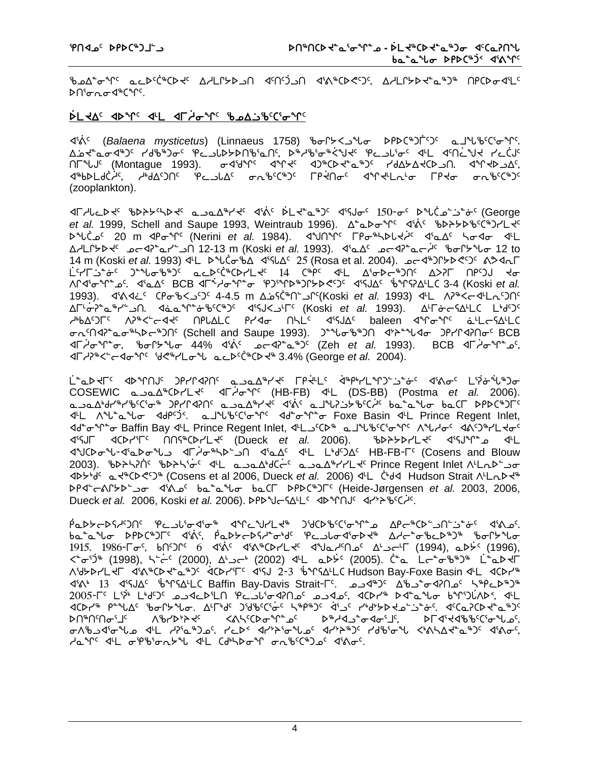ckw8iq5 NMs5`b6bsJ5 whmQ/slt x5t5`glt x3=6bs?5g5, whmQ/sJ8N6g6 trbsix3m5  $\mathsf{P} \cap \mathsf{G}$ ng $\mathsf{G} \subset \mathsf{G}$ 

#### **`smJw5 xsq5 x7m xu`hiq5 ckw~lc5b3iq5**

لكم3' (*Balaena mysticetus*) (Linnaeus 1758) ზთՐ≻<د℃ სასბნენენ ისებანებიზენ. www.kitshippor.com/www.kitshipport/stanting-community-community-community-community-community-community-commun  $\Lambda$ 5 (Montague 1993).  $\sigma$ <br/>dbedie and the probot  $\sigma$  and  $\sigma$   $\Lambda$ k6bFT9Cyc موالكات الحاكوات التي تقاطع التي تقاطع المستقام التي تقاطع التي تقاطع المستقام التي تقاطع التي تقاطع (zooplankton).

**IF AL ALS THE CONSTRAT CONSTRAT ASSET ASSETS ASSETS ALSO ASSETS ANCLES** et al. 1999, Schell and Saupe 1993, Weintraub 1996). Δ<sup>ε</sup> Δ<sup>ρ</sup>σ<sup>ε</sup>γ<sup>ς</sup> d'ώς θυλλειθείςθυλίες s b محمد 20 m xp o (Nerini et al. 1984). x 3Un pro show die x die die die whmQ/sJ5 koxD8Ny9lt 12-13 m (Koski *et al.* 1993). x3Nw5 koxD8No`h5 ciQ/zi 12 to 14 m (Koski *et al.* 1993) 4L D \*L c + 19 4 5 (Rosa et al. 2004). 25 (Rosa et al. 2004). 4 `m5yu~l8~i5 g8zic6g5 NMs5`b6bsymJ5 !\$ b6r5 x7m w3iso6gt5 wSDu tr5gA Ji WQx3iq8k5. x3Nw5 BCB xu`1hiq8i eg3qs6gQ/s?5g5 x3CAw5 `cqCDw7mb 3-4 (Koski *et al.* 1993). *4'*ልଏذ<sup>ַ (</sup>የلَامْكَة 4-4.5 m <u>አ</u>ذك<sup>ْمِنْ (Koski *et al.* 1993) 4'L ለአትረَّ 4'Lَمْكَة مَّاكَة الكَّابَّة (Koski *et al.* 1993</sup> ∆୮<sup>۱</sup>`o<sup>2</sup>°a1'Y ك−الي7°a1'A. x<sup>a</sup>b8°C1'X x<sup>1</sup>GSKi *et al.* 1993). ∆<sup>L</sup>To h4<sup>c</sup>y m4 مستقار میں کی ہے۔<br>استقار کے استقار کر کر کے ساتھ کہ کہ ہم میں کہ تعلیم ہے۔ اس کے اس کے اس کے اس کے اس کے اس کے  $\sigma$ ሊናበፈን՟ፌ $\sigma$ ჼኣኦ $\sigma$ ჼጋበና (Schell and Saupe 1993). ጋ՟Ⴏ $\sigma$ ჼᢧ)በ ፈነኦ՟Ⴏ $\sigma$  ጋየ/Րፈንበ $\sigma$ ና BCB  $\overline{P}$ خش من المسلم المعاصر المعاصر المعاصر المعاصر المعاصر (Zeh *et al.* 1993). BCB هن المعاصر المعاصر المعاصر المعاصر المعاصر المعاصر المعاصر المعاصر المعاصر المعاصر المعاصر المعاصر المعاصر المعاصر المعاصر المعاصر المع  $\Delta\Gamma$ <sub>2</sub><sup>9%</sup><5-40<sup>%</sup> id<%/Lo% acd<co>Cot%3.4% (George *et al.* 2004).

T<sub>e</sub>=هلاد طلمحال المحارطهان فتحاليها المخارق طلوبها المجاريكية وحملاه والمفيها المحمول COSEWIC NlNw6bsymJ5 xu`hiq5 (HB-FB) x7m (DS-BB) (Postma *et al.* 2006). NlNw4fy6yc5b3i6 gryQxDt5 NlNw6yJ5 x3`=5 NjzD~l/c5b`h5 vN8Nzi vNbu srsb6gu5 x7m Wz8Nzi xfr5`g2. Njzc5b3iq5 xf8iq8i Foxe Basin x7m Prince Regent Inlet, 4d<sup>e</sup> σ<sup>ε</sup>νητό Baffin Bay 4L Prince Regent Inlet, 4LSCD® a JubCG The Aules AAD®PLtof x3CAu xbsy3u5 ttC6bsymJ5 (Dueck *et al.* 2006). csp/symJ5 x3CAq8k x7m  $\Delta^4$ 2003). Pb>\?n Pb>\'g' 4L a\_oa4d(e' a\_oa4"YYLd' Prince Regent Inlet ALLab' o  $\Delta$ ታታየ ⊾ረ®ርኮሮናን® (Cosens et al 2006, Dueck *et al.* 2006) <sup>4</sup>L C +d< Hudson Strait ለዜ<sub>ባ</sub>ታዊ srx9o=Q/s9li x3=k5 vN8Nzi vNbu srsb6gu5 (Heide-Jørgensen *et al.* 2003, 2006, **Dueck** *et al.* 2006, Koski *et al.* 2006). PPP U GAL SAPP 10 x 4r'> U SCHS

 $A$ مكاحلا كان الكام التي توليق المستقام المستقام المستقام والتي تصميم المستقام المستقام المستقام المستقام المس ba<sup>n</sup>and DPDCNJFC didic, PaDbeDSdnolG PeulodioDd<sup>&</sup> AdenolDin<sup>e</sup> bonbno  $1915.$   $1986$ - $\sigma$ شح  $6$  حديد من الأمر المعالم العامل العامل (1994), مكافح (1996),  $\Delta^{\mu}$ حديد (1996),  $\Delta^{\mu}$  $X^*$ ە $\overline{X}$ 3) (1998), خانى (2002), مادىر (2002) ئالى مىلادى (2005). ئاما كەنبە ئالى ئالى ئالى  $X^*$ ለህታኦඋዚ ብልግራ አይል እንደ ለመሆንም የአገልግራት እንደ የአማሪያን የአማሪያን የአማሪያን የአማሪያን የተለያዘው አንድ የአንድ x3=4 !# x3CAw5 `cqCw7mb Baffin Bay-Davis Strait\_u5. klx6g5 wcl8ixDtk5 n6rMs6g6 2005- C<sup>6</sup> Li<sub>2</sub>i Lide C and CD<sup>6</sup>LA contracted contracted contracted contracted contracted contracted contracted c xbst% የትግሪያ የአይሆኑ የተፈረገ አይታልደለችን የተፈረጉ የተወሰነ የተፈረጉ አይታል የተፈረጉ የተፈረጉ የተፈረን st6t5ti3j5 Wcys0pJ5 X=n5bsiq8k5 s6hxl8ixi3j5, sux3Jxcc5b3izk5, iWclx3izk x7m hD3N6gk5. yMs2 xy0p3izk5 xy0p6g5 yfc3iz X4=nwJ8N6g5 x3=i5,  $Au^{\alpha}$  and  $a^{\beta}$  and  $a^{\beta}$  and  $a^{\beta}$  is the case of the control in  $A^{\beta}$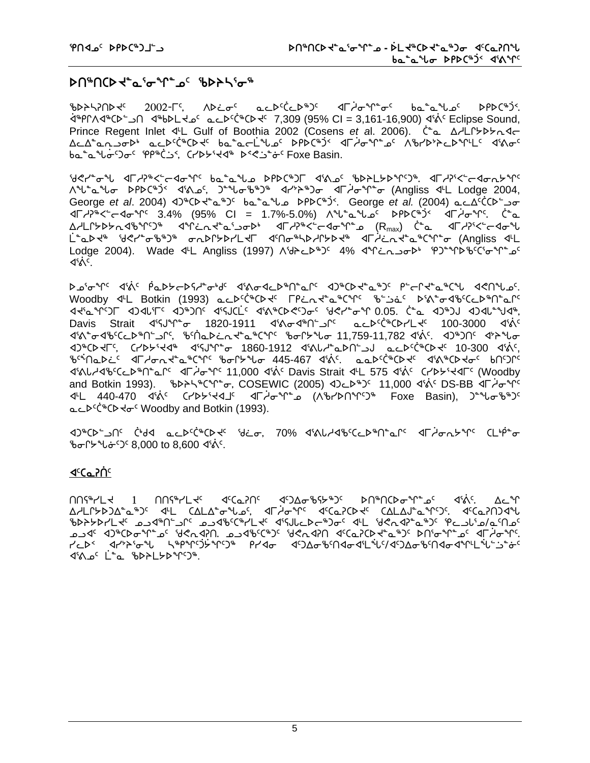## **ኦበჼበር**ኦ <del>\</del>\*๔'Ժ°\^`ഛ՟՟ የኦንԻ\'Ժჼ

b>h700 whote 2002-19, ADE acDCCDBJC dright-of batallschipPDCBjS. `x6rQWx6bs9lt x6vsmJk5 NMs5`b6bsJ5 7,309 (95% CI = 3,161-16,900) x3`=5 Eclipse Sound, Prince Regent Inlet 4L Gulf of Boothia 2002 (Cosens *et al. 2006).* C<sup>\*</sup>a. A/LChbhand wMw8NElis4 NMs5`b6bsJ5 vN8No`mzk5 srsb6`g2 xu`hiq8k5 Wcys0pMsq7m5 x3=i5 ba"a"lo-'Jo" PP"CS', CrDY'Y4" D'<"s" Foxe Basin.

**G**&YAT do the batal of PANG din a the theory of the constructions of the construction of the construction of the t Wz8Nzi srsb6`g2 x3=k5, g8zic6g6 xy0p6gi xu`hiq8i (Angliss x7m Lodge 2004, George *et al.* 2004) 3<sup>\$</sup>CD x<sup>6</sup> a<sup>\$</sup>) ba<sup>s</sup>a Level and Corge *et al.* (2004) ac A<sup>c</sup>CCD 5  $\Delta T$ <sub>2</sub><sup>5</sup> 45  $\sim$  3.4% (95% CI = 1.7%-5.0%)  $\Delta T$   $\Delta T$   $\Delta T$   $\Delta T$   $\Delta T$   $\Delta T$   $\Delta T$   $\Delta T$   $\Delta T$  $\Delta A$ LՐ≻<code>D</code>≻൨<code>Ib $\Delta A$ b $\Delta A$ s/Co $\Delta B$  $\Delta B$ </sup>  $\Delta C$  $\Delta B$  $\Delta C$ </code> لَ<sup>م</sup>مكة '*فلاد' فاقتلى بهرك*الكادلي المستقام الكاملية التابيرية المستقام (Alb neilpn4) Lodge 2004). Wade 4L Angliss (1997) A&bcbBJC 4% 4Mcnobb PJ POPDbCGoMo ⊲%`\

bai0 fr3is x3 paps-b61 that distorach that and the form of the sensists of the sensists of the sensists result Woodby 4L Botkin (1993) acbcc<sup>+</sup>CDd FPind<sup>e</sup>a<sup>\$</sup>C+C \$50 b50 p50 s45 cep\$neafc  $x_1x_2x_3$  x  $y_3x_4x_5$  x  $y_3x_5$  and  $x_6$   $x_7$   $x_8$   $x_9$   $x_1$   $x_2$   $x_3$   $x_4$   $x_5$   $x_6$   $x_7$   $x_8$   $x_9$   $x_1$   $x_2$   $x_3$   $x_4$   $x_5$   $x_6$   $x_7$   $x_8$   $x_9$   $x_1$   $x_2$   $x_3$   $x_4$   $x_5$   $x_6$   $x_7$   $x_8$  Davis Strait < 45'S" 1820-1911 < 45'S" LEAGEREARY 400-3000 < 45'S" x3=8ixc5bMs6t9lQ5, c5`tNs~MEJ8N6bq5 ciQ/zi 11,759-11,782 x3`=5. xg6gt5 x0pzi xg6bsJu5, bys/3Jx6 x3CAq8i 1860-1912 x3=Zh8Nst9lA NMs5`b6bsJ5 10-300 x3`=5, bcinabis de dont afors bont to 445-467 dins. aabscheen din to bons d'Alb-d'b'CLD"n<sup>e</sup> Composition of Albertan Askid Cavis Strait all 575 d'ais Cripbiled (Woodby) and Botkin 1993). Sb>Sherthol COSEWIC (2005) 40cbb3c 11,000 48.65 DS-BB 4F And 6 <sup>2</sup> 440-470 4'3<sup>°</sup> (インチ・マイコ イト・イール インテルトロン Foxe Basin), <sup>2</sup> しっしゅう هدله <sup>د</sup>(\*Cb and Botkin (1993).

 $x\rightarrow 9^\circ$ Cb infortable ibitio the text of the  $x\rightarrow 70\%$  data and the  $x\rightarrow 0^\circ$  d infort  $\sim 10\%$  by text by and  $x\rightarrow 0^\circ$ ზთՐ৮°სԺ<sup>с</sup>ጋ<sup>с</sup> 8,000 to 8,600 ব'ል<sup>c</sup>.

### **<u>{</mark><cep(yout**) {</u>

 $\text{MSE}$  , the cost of the construction  $\text{MSE}$  is the constraint  $\text{MSE}$  and  $\text{MSE}$ Δ/LՐ≻ϷϽΔ<sup>≈</sup>ҩ®Ͻ<sup>ϲ</sup> ϤϞͰ ϹΔΕΔ<sup>≈</sup>σ℠ႱҩϚ; ϤϜ*Ϟ*ϭ℠Ϛ ϤϾҩϿϹϷϞͼ ϹΔΕΔͿ΅ҩ℠ϚϽϚͺ ϤϾҩϿႶϽϤʹϞ on) من المكام المحامل المعاملة المحاملة المحامرة المحامرة المحامرة المحامرة المحامرة المحامرة المحامرة المحامرة<br>المحامل المحامل المحامرة المحامرة المحامرة المحامرة المحامرة المحامرة المحامرة المحامرة المحامرة المحامرة الم من حديقية المستمرين المجموع المجاهز المجاهز المجاهد المجاهزة المجاهزة المجاهزة. المجاهزة المجاهزة المجاهزة الم y<br>TCD< dr>>style="Styp"+C3"Prdo diDAo%MdodiLiUS/diDAo%MdodiMLiUS-ity 18.0° L<sup>+</sup>a %DPLYD%PS%.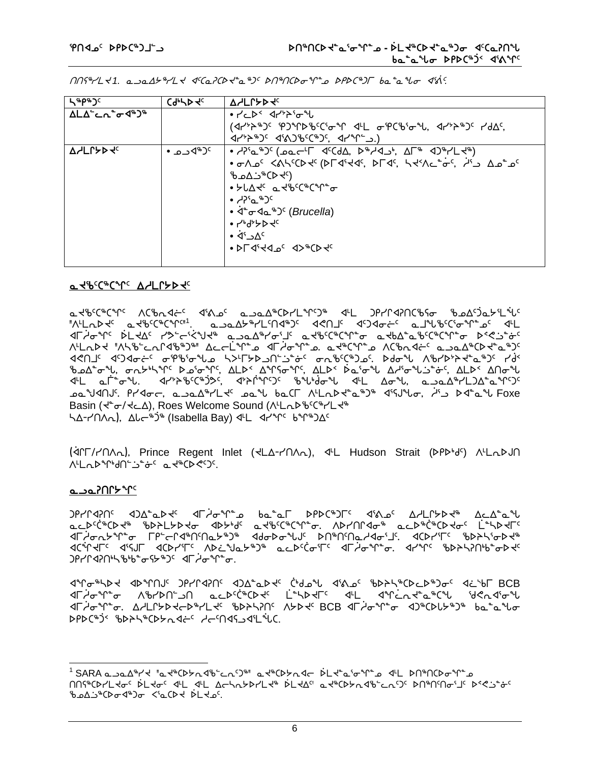$M$  $M$  $\gamma$  $L$  $<$  1. a  $\rightarrow$ a $\Delta$  $\rightarrow$  $\gamma$  $L$  $<$   $\prec$   $C$ a $\gamma$  $C$  $\rightarrow$  $C$  $\rightarrow$  $C$  $\rightarrow$  $C$  $\rightarrow$  $C$  $\rightarrow$  $C$  $\rightarrow$  $C$  $\rightarrow$  $C$  $\rightarrow$  $C$  $\rightarrow$  $C$  $\rightarrow$  $C$  $\rightarrow$  $C$ 

| ⊾′ ∉ხა პ                                       | C9, P4c    | <b>AYLLADAC</b>                                                                                                                                                                                                                                                     |
|------------------------------------------------|------------|---------------------------------------------------------------------------------------------------------------------------------------------------------------------------------------------------------------------------------------------------------------------|
| ΔLΔ՟ <b>⊂</b> Λ໊σ <sup>∢%</sup> ) <sup>%</sup> |            | ● ┌'⊂▷≦ ◁┌' <sup></sup> '≻`o <sup>_</sup> °U                                                                                                                                                                                                                        |
|                                                |            | $(4r^{\nu}r^{\nu})^{\nu}$ . The sumply of the state of $4r^{\nu}r^{\nu}$ and $4r^{\nu}r^{\nu}r^{\nu}$ and $4r^{\nu}r^{\nu}r^{\nu}r^{\nu}$                                                                                                                           |
|                                                |            | $(1/2^{k})^{k}$ and $(1/2^{k})^{k}$ and $(1/2^{k})^{k}$ and $(1/2^{k})^{k}$ and $(1/2^{k})^{k}$ and $(1/2^{k})^{k}$ and $(1/2^{k})^{k}$ and $(1/2^{k})^{k}$ and $(1/2^{k})^{k}$ and $(1/2^{k})^{k}$ and $(1/2^{k})^{k}$ and $(1/2^{k})^{k}$ and $(1/2^{k})^{k}$ and |
| <b>AYLLADA</b>                                 | °⊂®4ٺ •  • |                                                                                                                                                                                                                                                                     |
|                                                |            | • TAS < < مدار لا من الله من الله من الله من الله من الله من الله من الله من الله من الله من الله من الله من ا                                                                                                                                                      |
|                                                |            | (کامر2‰ت∆م&                                                                                                                                                                                                                                                         |
|                                                |            | ● ≻Ს∆ᡧ᠂ ₢ ᠊᠊ᢋ <i>ᡛ</i> ᡕᢗᢦᢗᢦᡅ <sub>ᡆ</sub>                                                                                                                                                                                                                          |
|                                                |            | ده $\gamma$ ده و $\gamma$                                                                                                                                                                                                                                           |
|                                                |            | • ∢்ச⊲⊾ஃ) (Brucella)                                                                                                                                                                                                                                                |
|                                                |            | ● しゅりょうろん                                                                                                                                                                                                                                                           |
|                                                |            | $\bullet$ $4^5$ $\Delta$ <sup>c</sup>                                                                                                                                                                                                                               |
|                                                |            | . PL Ji4d oc A> PCP Ac                                                                                                                                                                                                                                              |
|                                                |            |                                                                                                                                                                                                                                                                     |

#### *<u>a APCC+C+Lc VSFC+D+5C</u>*

ᢆᢘ᠊ᡪᡃᡑᢗᢗᡃᡑᢗ᠊ᢩᠰᢉ᠂᠂ᢉᢗᡃ᠍ᢦᠠᢋᡧ᠌ᡄ᠂᠂ᡏᢂᠴ᠖ᠴᠴ᠋ᡉ᠘᠋ᢞᢗᢂ᠘ᡩ᠑ᢞ᠂᠂ᡏᡫ᠂᠂᠑ᡝ᠘ᡊᠯᡗᡰᢗᢥᡗᡆ᠃ᠾ᠘ᡗᢃᡆᢣᡲ᠘᠅ᡁ<br>᠂᠕ᡃ᠘᠊᠇ᡅᢂᢠᢈ᠃ᠴ᠅ᠱ᠅᠅᠅ᡁ᠅᠘᠂᠂ᡘᡳ᠘ᠷ᠐ᢣ᠅ᢣ᠘ᢣ᠓ᢣ᠉ᢣ᠘ᢣᡗᢣ᠉᠘ᢣᠾ᠉ᢗᠻ᠅ᢧ᠅᠂ᠷ᠘ᢣᡁ **١**٢) مهر المحمد المالي المعلوم المعلم المعلم المعلم المعلمي المعلمي المعلمي المعلمي المعلمي المعلمي <u> ۹۳۵٬۴ ۹٬۲۹٬۴۴٬۸ میلادی به ۱۳۶۶٬۲۴۷٬۲۴۷٬۸ میلادی به ۱۳۶۸٬۲</u> ᡃᢅ᠍᠊ᡃb᠘᠋<sup>ᠲ</sup>ᢐᡶ᠋ᡕ᠂ᡋ᠇᠘ᢣᡃᡰᡪ᠋᠋ᡩᡳ᠈ᡗ᠖ᢧ᠖ᠰ᠀ᡁ᠘᠘᠈ᡤ᠖ᢣᡗᢋ᠉ᡗᠻ᠖ᢧᡗᡏᡵ᠕᠘᠘ᢣ᠅ᡉᡗᡉᠲ᠘᠘᠕ᡋ᠅᠘᠒᠕ <u><br>Ϥ</u>ͰϹ ͼϹ<sup>Ϟ</sup>ʹϭ·ϞͿͺͺͺͺͺͺϥϯ<sup>ϧ</sup>;ϡʹϧʹϾʹͼͻʹͻʹ;ͺͺͺͺͺͺϥ;ͻͱʹϥ·ϓͱϓ·ͻͼͺͺϧͼϥϧϥʹϧϥʹϧͼϓϹͺͺͺʹϯϤϹͺϪϭ·ϞͶͻͻͼϓϓϽͼ Basin (  $\tau^* \sigma / \tau \subset \Delta$ ), Roes Welcome Sound (  $\Lambda^L$ L  $\Lambda^B$ <sup>6</sup> ( $\Lambda^L$ L $\tau^*$ 54-MAL), ALC<sup>\$36</sup> (Isabella Bay) 4L 47°TC 6°T8)AC

(<ICT/PIAA), Prince Regent Inlet (<LA-PIAA), <L Hudson Strait (DPDbdc) ALADJN **WLQD Mdn-3-6' a deCD GO'.** 

#### َ°۳<sup>∗</sup>⊀٬∩۲مدے

ᡆᡄᢂᢗ᠅ᢗᢂ᠐ᢣᢋ᠉᠂ᠾᢂᢣᠾ᠘᠂ᡆᢂᢣᠾ<br>ᡆᡄᢂ᠐ᢣᢞᡁᢄ᠆ᢣ᠖ᢆ᠂ᠾ᠆ᡗᡳᢣᢂ᠂ᡆᢂᢣᠾ<br>ᡆᡄᢂ᠐ᡔᢞ᠕ᡛᢛ᠂ᢔᢂᢣᡌ᠅᠆ᡗᡆ᠅᠓ᠱ᠅ᠰ᠙ᡫ᠅᠕ᢣ᠕ᢣ᠐ᢞ᠓ᢞ᠓ᠱ᠓ᠰᡇ᠅ᡌ᠅ ৰ¢\*Ր⊀୮<sup>ϲ</sup> ৰাৎJ୮ ৰ¢Ϸ૮ჼ୮<sup>ϲ</sup> ለϷ¿՟ᡃJҩᡔᡃᢀ᠉᠂ҩ*ᡄ*Ϸ<sup>ϲ</sup>Ćơ·ͳ<sup>ϲ</sup> ৰ୮ᢣơ·ϒ໊ϭ; ৰ૮৺Ր՟ ჼႦϷჂኣንႶჼႦჼϭϷ⊀<del>՟</del> ᠑የሃՐ⊲ንႶ<sup>៲</sup>ᢣ ჼᢧჼ*ᢐ᠊*ᡪᢣ<sub>ჼ</sub>Ⴢ<sup>ᡕ</sup>᠂ᡕ᠆ᢥᠣ<sup>ᢌ</sup>ᡗ᠊ᢆᢛ

ᡏᠰ᠋ᠲ᠗ᢣᢂ᠆ᡁᢞᠾ᠆ᡗᡰ᠕᠂᠕ᡒᢆᠾᢂ᠘ᢣᡏ᠂ᡩᢂᠴ᠀᠂ᢔᡗᢣᢞᠾᢂᠾ᠆ᡁᢝᠾᢄᡗᡉ אך איך האריך האריך האריך האריך האריך לא האריך לא האריך האריך.<br>אך איך האריך האריך האריך האריך האריך לא האריך לא האריך האריך האריך האריך האריך האריך האריך האריך האריך. ᡏᡏ*ᡎ*ᠣᠰ᠆ᢐ᠂᠘ᢣᡌᢑᢂᡪᡏ᠑ᡪ᠆ᢄᢣᡳᢂᢣᢂᡁᢃ᠂᠓ᡔᡏᡳ᠉ᡛᡵᢥ᠉ᡫᡗᢣ᠅᠐᠐ᢒᡰ᠀ᠾᢣᠾ᠉ᠾ DPDC&JS BDAS&CDGadES deMaSaIL&C.

6

MS\$CDYLKoc DLKoc d4L d4L AchnYDYLK\$ DLKAC aK\$CDYnd8cLnSC DN\$NSNoSJC DSR10c bedjeCord+)o <'aCD+ PL+0'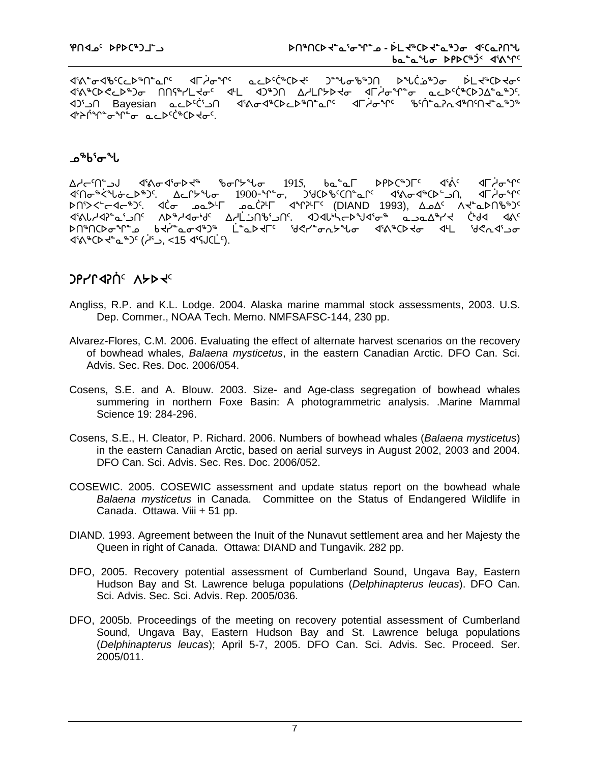ᢞᡳᡱ᠋ᠵᡏ᠑ᡉ᠂᠗ᠱᠾ᠆ᡆᠾ᠌ᡳᠾ᠌ᡳᠾ᠌ᡏᠾ᠅ᠾ᠅ᠾᢓᡳᢠᠾᢂᡁ᠘ᡓᠾ᠅ᠾᡸᠾ᠗᠂ᠾ᠅ᠾ᠅᠗ᢣᠾ᠅ᠾ᠅ᠾ᠅ᡁ᠅ᡁ᠅ᡁ᠅ᡁ᠅ᡁ᠅ᡁ᠅ᡁ᠅ᡁ᠅ᡁ᠅ᡁ᠅ᡁ᠅ ᡏᡝᡐ᠍ᡃᢗᢂ᠋ᢗᡄᢂᢃᠣᢇᠾ᠓ᢚᡪ᠘ᡕᡇ᠌᠂ᡕᡌ᠇᠌᠅᠐ᢞ᠑ᡴ᠂᠘ᢣ᠘ᡗᢣᢂᢣᡆ᠂᠂ᡏᡏ᠂ᡇᢞᡗ᠊ᢐ᠂᠂ᡆᡄᢂᢗᢠᢆᢗᢂ᠑᠘ᡱᡉ᠉ᢃ ∩د'¢c≻طےء Bayesian ∩د1⁄ ᡏ᠈ᠡ᠔ᡃ<sup>᠉</sup>᠘᠂ᡆ᠉ᡤ᠅ᡉ᠂ᡆᡄ᠘ᢄᢄᢠᢗᢂᢣᡆ

## ഛააააუაა

ba<sup>\*</sup>al PPDC<sup>\$</sup>)r<sup>c</sup> ∆ᢣᡄ<sup>᠌᠌</sup>᠓᠆᠘ᢣ᠕ᡒᡏ᠖ᢐᢂᢐᢂ᠗ᢣᡈᠲ᠉ᡉᡗᢣ᠉ᡁᠣ᠂᠂᠒᠑ᡗᢃ ⊲ৰ্ক্ষ ⊲⊏∠≁≁∿ ⊲୮ᢣᠣ᠊ᡃᢡ ᢂᠪᢆᢁᢍᢩ᠉ᠪᢄ᠂ᡘᡬᢦᡏ**᠉**ᢉ᠅᠗ᢀ ەھ (1993- 4℃)<sup>נ</sup> (DIAND 1993), ∆ە∆<sup>د</sup> ∧ל *ھە*  $\begin{array}{cccccccccccccc} \triangleright & \multicolumn{4}{c|}{\bullet} & \multicolumn{4}{c|}{\bullet} & \multicolumn{4}{c|}{\bullet} & \multicolumn{4}{c|}{\bullet} & \multicolumn{4}{c|}{\bullet} & \multicolumn{4}{c|}{\bullet} & \multicolumn{4}{c|}{\bullet} & \multicolumn{4}{c|}{\bullet} & \multicolumn{4}{c|}{\bullet} & \multicolumn{4}{c|}{\bullet} & \multicolumn{4}{c|}{\bullet} & \multicolumn{4}{c|}{\bullet} & \multicolumn{4}{c|}{\bullet} & \multicolumn{4}{c|}{\bullet} & \multicolumn{4}{c|$  $45.4\%$   $(15.4\%)(1.4\%)$   $(15.4\%)(1.4\%)$ 

# **JPYPERIC ASDES**

- Angliss, R.P. and K.L. Lodge. 2004. Alaska marine mammal stock assessments, 2003. U.S. Dep. Commer., NOAA Tech. Memo. NMFSAFSC-144, 230 pp.
- Alvarez-Flores, C.M. 2006. Evaluating the effect of alternate harvest scenarios on the recovery of bowhead whales, Balaena mysticetus, in the eastern Canadian Arctic. DFO Can. Sci. Advis, Sec. Res. Doc. 2006/054.
- Cosens, S.E. and A. Blouw. 2003. Size- and Age-class segregation of bowhead whales summering in northern Foxe Basin: A photogrammetric analysis. Marine Mammal Science 19: 284-296.
- Cosens, S.E., H. Cleator, P. Richard. 2006. Numbers of bowhead whales (Balaena mysticetus) in the eastern Canadian Arctic, based on aerial surveys in August 2002, 2003 and 2004. DFO Can. Sci. Advis. Sec. Res. Doc. 2006/052.
- COSEWIC. 2005. COSEWIC assessment and update status report on the bowhead whale Balaena mysticetus in Canada. Committee on the Status of Endangered Wildlife in Canada. Ottawa. Viii + 51 pp.
- DIAND. 1993. Agreement between the Inuit of the Nunavut settlement area and her Majesty the Queen in right of Canada. Ottawa: DIAND and Tungavik. 282 pp.
- DFO, 2005. Recovery potential assessment of Cumberland Sound, Ungava Bay, Eastern Hudson Bay and St. Lawrence beluga populations (Delphinapterus leucas). DFO Can. Sci. Advis, Sec. Sci. Advis, Rep. 2005/036.
- DFO, 2005b. Proceedings of the meeting on recovery potential assessment of Cumberland Sound, Ungava Bay, Eastern Hudson Bay and St. Lawrence beluga populations (Delphinapterus leucas); April 5-7, 2005. DFO Can. Sci. Advis. Sec. Proceed. Ser. 2005/011.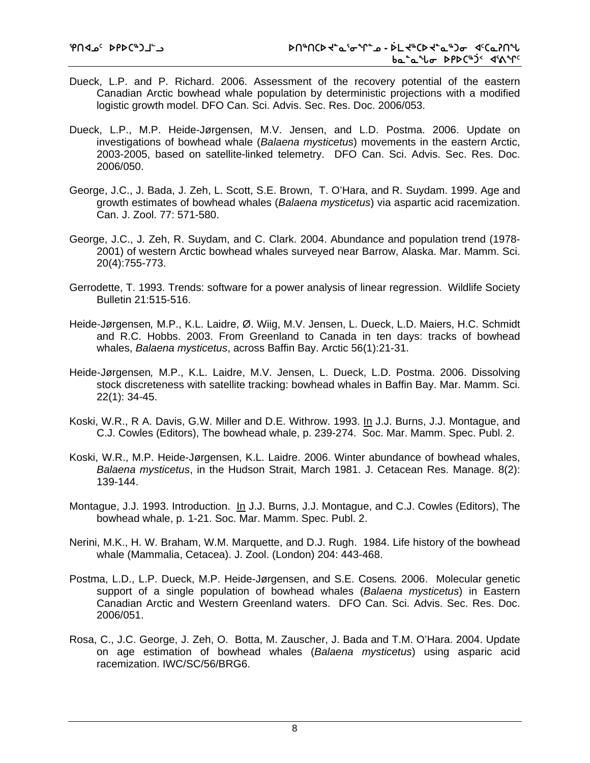- Dueck, L.P. and P. Richard. 2006. Assessment of the recovery potential of the eastern Canadian Arctic bowhead whale population by deterministic projections with a modified logistic growth model. DFO Can. Sci. Advis. Sec. Res. Doc. 2006/053.
- Dueck, L.P., M.P. Heide-Jørgensen, M.V. Jensen, and L.D. Postma. 2006. Update on investigations of bowhead whale (*Balaena mysticetus*) movements in the eastern Arctic, 2003-2005, based on satellite-linked telemetry. DFO Can. Sci. Advis. Sec. Res. Doc. 2006/050.
- George, J.C., J. Bada, J. Zeh, L. Scott, S.E. Brown, T. O'Hara, and R. Suydam. 1999. Age and growth estimates of bowhead whales (*Balaena mysticetus*) via aspartic acid racemization. Can. J. Zool. 77: 571-580.
- George, J.C., J. Zeh, R. Suydam, and C. Clark. 2004. Abundance and population trend (1978- 2001) of western Arctic bowhead whales surveyed near Barrow, Alaska. Mar. Mamm. Sci. 20(4):755-773.
- Gerrodette, T. 1993. Trends: software for a power analysis of linear regression. Wildlife Society Bulletin 21:515-516.
- Heide-Jørgensen*,* M.P., K.L. Laidre, Ø. Wiig, M.V. Jensen, L. Dueck, L.D. Maiers, H.C. Schmidt and R.C. Hobbs. 2003. From Greenland to Canada in ten days: tracks of bowhead whales, *Balaena mysticetus*, across Baffin Bay. Arctic 56(1):21-31.
- Heide-Jørgensen*,* M.P., K.L. Laidre, M.V. Jensen, L. Dueck, L.D. Postma. 2006. Dissolving stock discreteness with satellite tracking: bowhead whales in Baffin Bay. Mar. Mamm. Sci. 22(1): 34-45.
- Koski, W.R., R A. Davis, G.W. Miller and D.E. Withrow. 1993. In J.J. Burns, J.J. Montague, and C.J. Cowles (Editors), The bowhead whale, p. 239-274. Soc. Mar. Mamm. Spec. Publ. 2.
- Koski, W.R., M.P. Heide-Jørgensen, K.L. Laidre. 2006. Winter abundance of bowhead whales, *Balaena mysticetus*, in the Hudson Strait, March 1981. J. Cetacean Res. Manage. 8(2): 139-144.
- Montague, J.J. 1993. Introduction. In J.J. Burns, J.J. Montague, and C.J. Cowles (Editors), The bowhead whale, p. 1-21. Soc. Mar. Mamm. Spec. Publ. 2.
- Nerini, M.K., H. W. Braham, W.M. Marquette, and D.J. Rugh. 1984. Life history of the bowhead whale (Mammalia, Cetacea). J. Zool. (London) 204: 443-468.
- Postma, L.D., L.P. Dueck, M.P. Heide-Jørgensen, and S.E. Cosens*.* 2006. Molecular genetic support of a single population of bowhead whales (*Balaena mysticetus*) in Eastern Canadian Arctic and Western Greenland waters. DFO Can. Sci. Advis. Sec. Res. Doc. 2006/051.
- Rosa, C., J.C. George, J. Zeh, O. Botta, M. Zauscher, J. Bada and T.M. O'Hara. 2004. Update on age estimation of bowhead whales (*Balaena mysticetus*) using asparic acid racemization. IWC/SC/56/BRG6.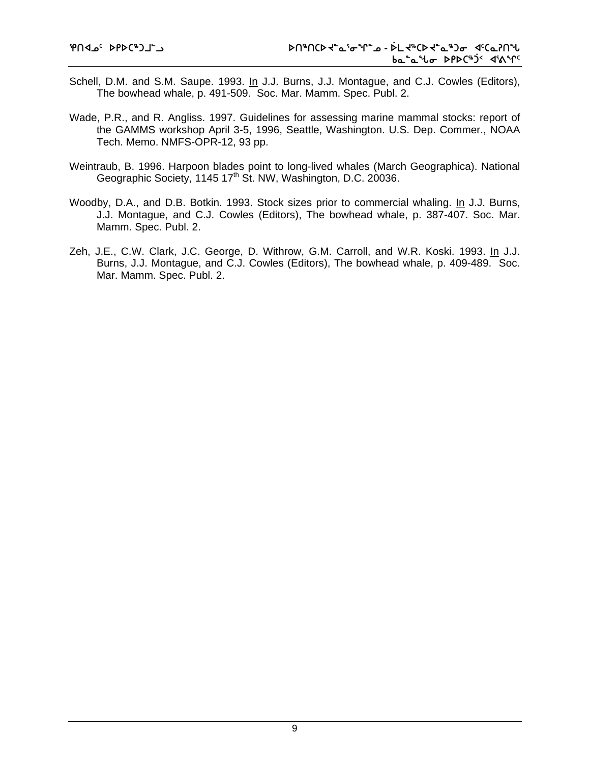- Schell, D.M. and S.M. Saupe. 1993. In J.J. Burns, J.J. Montague, and C.J. Cowles (Editors), The bowhead whale, p. 491-509. Soc. Mar. Mamm. Spec. Publ. 2.
- Wade, P.R., and R. Angliss. 1997. Guidelines for assessing marine mammal stocks: report of the GAMMS workshop April 3-5, 1996, Seattle, Washington. U.S. Dep. Commer., NOAA Tech. Memo. NMFS-OPR-12, 93 pp.
- Weintraub, B. 1996. Harpoon blades point to long-lived whales (March Geographica). National Geographic Society, 1145 17<sup>th</sup> St. NW, Washington, D.C. 20036.
- Woodby, D.A., and D.B. Botkin. 1993. Stock sizes prior to commercial whaling. In J.J. Burns, J.J. Montague, and C.J. Cowles (Editors), The bowhead whale, p. 387-407. Soc. Mar. Mamm. Spec. Publ. 2.
- Zeh, J.E., C.W. Clark, J.C. George, D. Withrow, G.M. Carroll, and W.R. Koski. 1993. In J.J. Burns, J.J. Montague, and C.J. Cowles (Editors), The bowhead whale, p. 409-489. Soc. Mar. Mamm. Spec. Publ. 2.